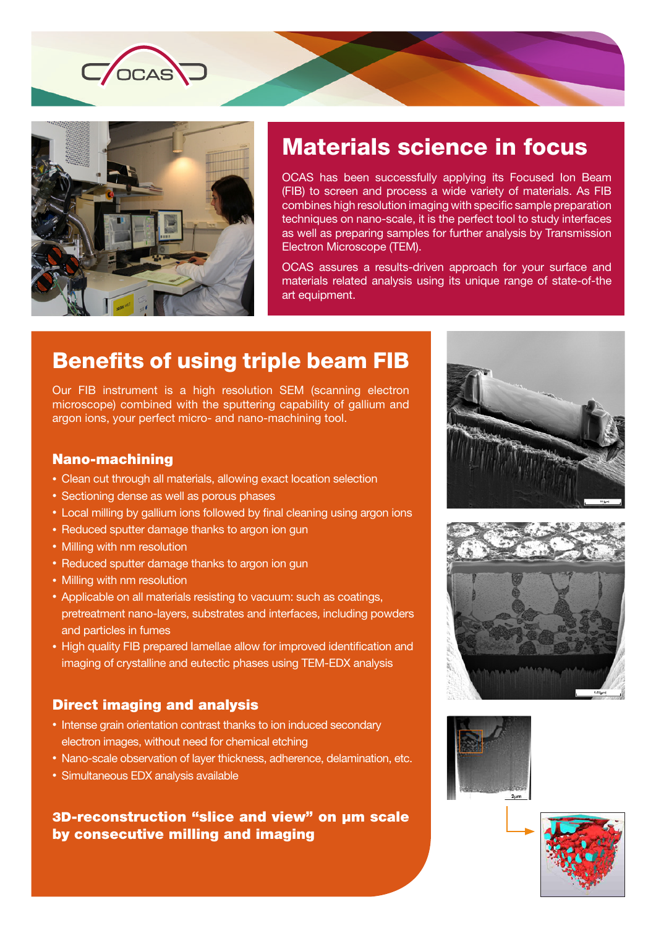



# Materials science in focus

OCAS has been successfully applying its Focused Ion Beam (FIB) to screen and process a wide variety of materials. As FIB combines high resolution imaging with specific sample preparation techniques on nano-scale, it is the perfect tool to study interfaces as well as preparing samples for further analysis by Transmission Electron Microscope (TEM).

OCAS assures a results-driven approach for your surface and materials related analysis using its unique range of state-of-the art equipment.

## Benefits of using triple beam FIB

Our FIB instrument is a high resolution SEM (scanning electron microscope) combined with the sputtering capability of gallium and argon ions, your perfect micro- and nano-machining tool.

#### Nano-machining

- Clean cut through all materials, allowing exact location selection
- Sectioning dense as well as porous phases
- Local milling by gallium ions followed by final cleaning using argon ions
- Reduced sputter damage thanks to argon ion gun
- Milling with nm resolution
- Reduced sputter damage thanks to argon ion gun
- Milling with nm resolution
- Applicable on all materials resisting to vacuum: such as coatings, pretreatment nano-layers, substrates and interfaces, including powders and particles in fumes
- High quality FIB prepared lamellae allow for improved identification and imaging of crystalline and eutectic phases using TEM-EDX analysis

### Direct imaging and analysis

- Intense grain orientation contrast thanks to ion induced secondary electron images, without need for chemical etching
- Nano-scale observation of layer thickness, adherence, delamination, etc.
- Simultaneous EDX analysis available

### 3D-reconstruction "slice and view" on µm scale by consecutive milling and imaging